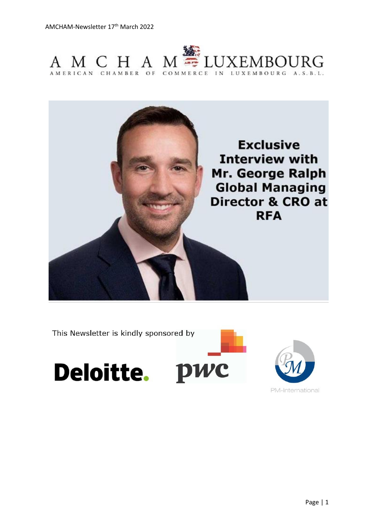



This Newsletter is kindly sponsored by

Deloitte. PWC



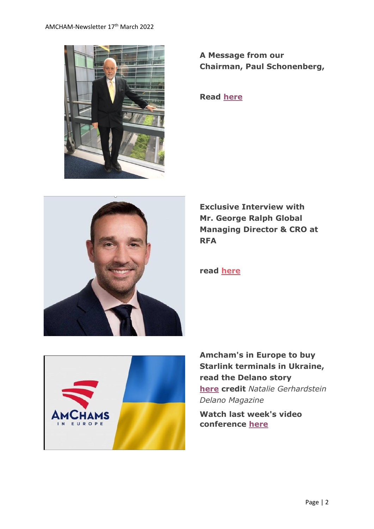

**A Message from our Chairman, Paul Schonenberg,**

**Read [here](https://send.lola.lu/t/d-l-flkluhk-tdxlhyduy-r/)**



**Exclusive Interview with Mr. George Ralph Global Managing Director & CRO at RFA**

**read [here](https://send.lola.lu/t/d-l-flkluhk-tdxlhyduy-y/)**



**Amcham's in Europe to buy Starlink terminals in Ukraine, read the Delano story [here](https://send.lola.lu/t/d-l-flkluhk-tdxlhyduy-j/) credit** *Natalie Gerhardstein Delano Magazine*

**Watch last week's video conference [here](https://send.lola.lu/t/d-l-flkluhk-tdxlhyduy-t/)**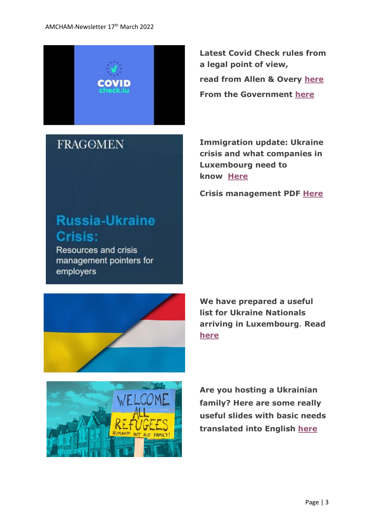

## **FRAGOMEN**

**Latest Covid Check rules from a legal point of view, read from Allen & Overy [here](https://send.lola.lu/t/d-l-flkluhk-tdxlhyduy-i/) From the Government [here](https://send.lola.lu/t/d-l-flkluhk-tdxlhyduy-d/)**

**Immigration update: Ukraine crisis and what companies in Luxembourg need to know [Here](https://send.lola.lu/t/d-l-flkluhk-tdxlhyduy-h/)**

**Crisis management PDF [Here](https://send.lola.lu/t/d-l-flkluhk-tdxlhyduy-k/)**

# **Russia-Ukraine Crisis:**

Resources and crisis management pointers for employers



**We have prepared a useful list for Ukraine Nationals arriving in Luxembourg. Read [here](https://send.lola.lu/t/d-l-flkluhk-tdxlhyduy-u/)**



**Are you hosting a Ukrainian family? Here are some really useful slides with basic needs translated into English [here](https://send.lola.lu/t/d-l-flkluhk-tdxlhyduy-o/)**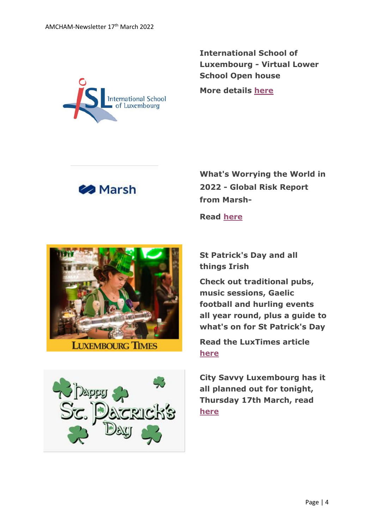

**International School of Luxembourg - Virtual Lower School Open house**

**More details [here](https://send.lola.lu/t/d-l-flkluhk-tdxlhyduy-b/)**



**What's Worrying the World in 2022 - Global Risk Report from Marsh-**

**Read [here](https://send.lola.lu/t/d-l-flkluhk-tdxlhyduy-n/)**



**St Patrick's Day and all things Irish**

**Check out traditional pubs, music sessions, Gaelic football and hurling events all year round, plus a guide to what's on for St Patrick's Day**

**Read the LuxTimes article [here](https://send.lola.lu/t/d-l-flkluhk-tdxlhyduy-p/)**

**City Savvy Luxembourg has it all planned out for tonight, Thursday 17th March, read [here](https://send.lola.lu/t/d-l-flkluhk-tdxlhyduy-x/)**

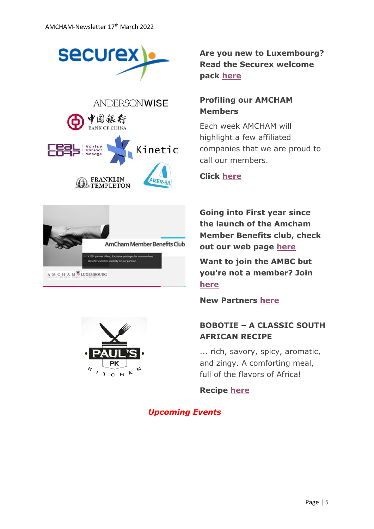





**Are you new to Luxembourg? Read the Securex welcome pack [here](https://send.lola.lu/t/d-l-flkluhk-tdxlhyduy-m/)**

#### **Profiling our AMCHAM Members**

Each week AMCHAM will highlight a few affiliated companies that we are proud to call our members.

#### **Click [here](https://send.lola.lu/t/d-l-flkluhk-tdxlhyduy-c/)**

**Going into First year since the launch of the Amcham Member Benefits club, check out our web page [here](https://www.amcham.lu/amcham-benefits-club/)**

**Want to join the AMBC but you're not a member? Join [here](https://www.amcham.lu/amcham-benefits-club/ambc-card-for-non-members/)**

**New Partners [here](https://www.amcham.lu/newsletter/new-mbc-partners-10th-march-2022/)**

### **BOBOTIE – A CLASSIC SOUTH AFRICAN RECIPE**

... rich, savory, spicy, aromatic, and zingy. A comforting meal, full of the flavors of Africa!

**Recipe [here](https://send.lola.lu/t/d-l-flkluhk-tdxlhyduy-z/)**

*Upcoming Events*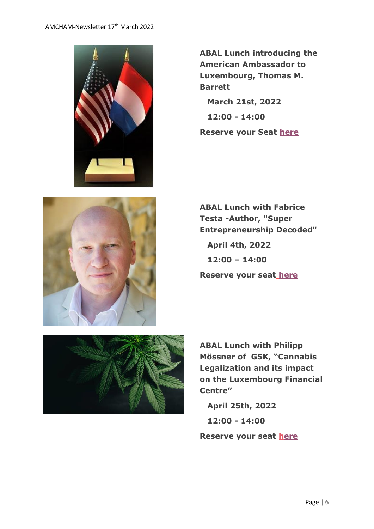

**ABAL Lunch introducing the American Ambassador to Luxembourg, Thomas M. Barrett March 21st, 2022**

 **12:00 - 14:00**

**Reserve your Seat [here](https://send.lola.lu/t/d-l-flkluhk-tdxlhyduy-v/)**



**ABAL Lunch with Fabrice Testa -Author, "Super Entrepreneurship Decoded"**

 **April 4th, 2022 12:00 – 14:00 Reserve your seat [here](https://www.amcham.lu/events/abal-lunch-with-fabrice-testa/)**



**ABAL Lunch with Philipp Mössner of GSK, "Cannabis Legalization and its impact on the Luxembourg Financial Centre"**

 **April 25th, 2022 12:00 - 14:00**

**Reserve your seat [h](https://send.lola.lu/t/d-l-flkluhk-tdxlhyduy-s/)[ere](https://send.lola.lu/t/d-l-flkluhk-tdxlhyduy-g/)**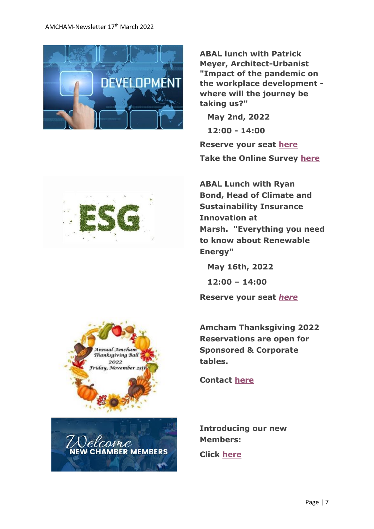#### AMCHAM-Newsletter 17<sup>th</sup> March 2022



**ABAL lunch with Patrick Meyer, Architect-Urbanist "Impact of the pandemic on the workplace development where will the journey be taking us?"**

 **May 2nd, 2022 12:00 - 14:00 Reserve your seat [here](https://send.lola.lu/t/d-l-flkluhk-tdxlhyduy-w/) Take the Online Survey [here](https://send.lola.lu/t/d-l-flkluhk-tdxlhyduy-jl/)**

**ABAL Lunch with Ryan Bond, Head of Climate and Sustainability Insurance Innovation at Marsh. "Everything you need to know about Renewable Energy"**

 **May 16th, 2022**

 **12:00 – 14:00**

**Reserve your seat** *[here](https://send.lola.lu/t/d-l-flkluhk-tdxlhyduy-jr/)*

**Amcham Thanksgiving 2022 Reservations are open for Sponsored & Corporate tables.** 

**Contact [here](mailto:daniel@amcham.lu)**

**Introducing our new Members:**

**Click [here](https://send.lola.lu/t/d-l-flkluhk-tdxlhyduy-jy/)**